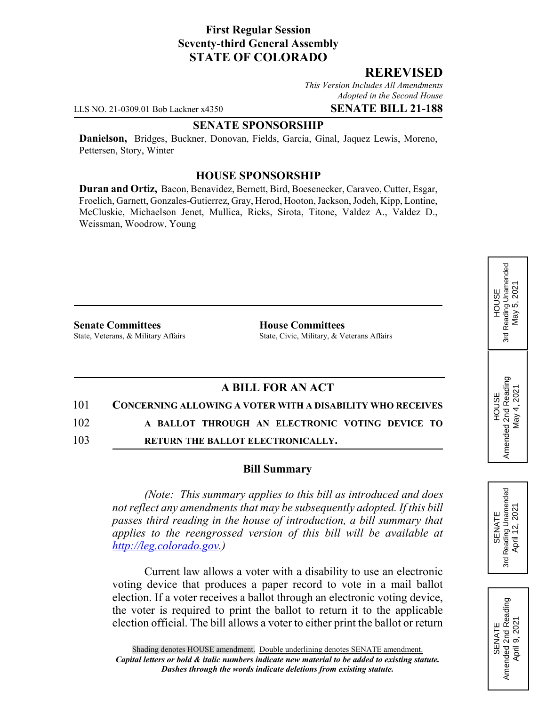# **First Regular Session Seventy-third General Assembly STATE OF COLORADO**

## **REREVISED**

*This Version Includes All Amendments Adopted in the Second House*

LLS NO. 21-0309.01 Bob Lackner x4350 **SENATE BILL 21-188**

#### **SENATE SPONSORSHIP**

**Danielson,** Bridges, Buckner, Donovan, Fields, Garcia, Ginal, Jaquez Lewis, Moreno, Pettersen, Story, Winter

### **HOUSE SPONSORSHIP**

**Duran and Ortiz,** Bacon, Benavidez, Bernett, Bird, Boesenecker, Caraveo, Cutter, Esgar, Froelich, Garnett, Gonzales-Gutierrez, Gray, Herod, Hooton, Jackson, Jodeh, Kipp, Lontine, McCluskie, Michaelson Jenet, Mullica, Ricks, Sirota, Titone, Valdez A., Valdez D., Weissman, Woodrow, Young

**Senate Committees House Committees** 

State, Veterans, & Military Affairs State, Civic, Military, & Veterans Affairs

# **A BILL FOR AN ACT**

## 101 **CONCERNING ALLOWING A VOTER WITH A DISABILITY WHO RECEIVES**

102 **A BALLOT THROUGH AN ELECTRONIC VOTING DEVICE TO** 103 **RETURN THE BALLOT ELECTRONICALLY.**

#### **Bill Summary**

*(Note: This summary applies to this bill as introduced and does not reflect any amendments that may be subsequently adopted. If this bill passes third reading in the house of introduction, a bill summary that applies to the reengrossed version of this bill will be available at http://leg.colorado.gov.)*

Current law allows a voter with a disability to use an electronic voting device that produces a paper record to vote in a mail ballot election. If a voter receives a ballot through an electronic voting device, the voter is required to print the ballot to return it to the applicable election official. The bill allows a voter to either print the ballot or return



HOUSE<br>3rd Reading Unamended<br>May 5, 2021 3rd Reading Unamended May 5, 2021

HOUSE Amended 2nd Reading May 4, 2021

Amended 2nd Reading<br>May 4, 2021

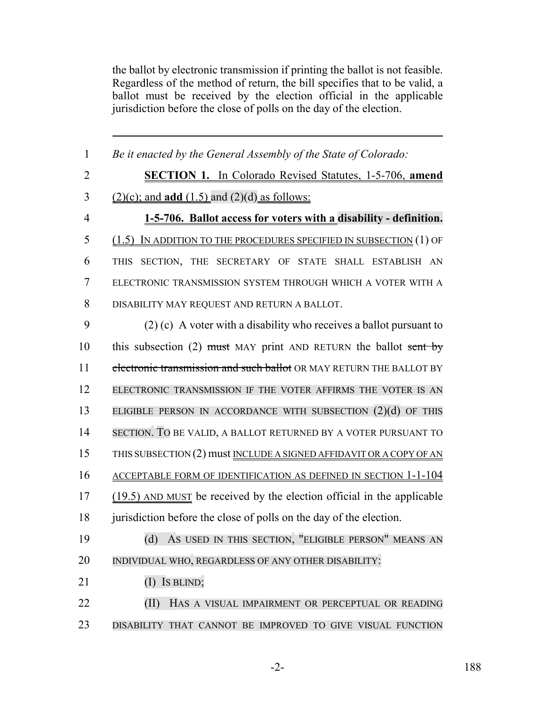the ballot by electronic transmission if printing the ballot is not feasible. Regardless of the method of return, the bill specifies that to be valid, a ballot must be received by the election official in the applicable jurisdiction before the close of polls on the day of the election.

| $\mathbf{1}$   | Be it enacted by the General Assembly of the State of Colorado:          |
|----------------|--------------------------------------------------------------------------|
| $\overline{2}$ | <b>SECTION 1.</b> In Colorado Revised Statutes, 1-5-706, amend           |
| 3              | $(2)(c)$ ; and <b>add</b> $(1.5)$ and $(2)(d)$ as follows:               |
| $\overline{4}$ | 1-5-706. Ballot access for voters with a disability - definition.        |
| 5              | (1.5) IN ADDITION TO THE PROCEDURES SPECIFIED IN SUBSECTION (1) OF       |
| 6              | SECTION, THE SECRETARY OF STATE SHALL ESTABLISH AN<br><b>THIS</b>        |
| 7              | ELECTRONIC TRANSMISSION SYSTEM THROUGH WHICH A VOTER WITH A              |
| 8              | DISABILITY MAY REQUEST AND RETURN A BALLOT.                              |
| 9              | $(2)$ (c) A voter with a disability who receives a ballot pursuant to    |
| 10             | this subsection (2) must MAY print AND RETURN the ballot sent by         |
| 11             | electronic transmission and such ballot OR MAY RETURN THE BALLOT BY      |
| 12             | ELECTRONIC TRANSMISSION IF THE VOTER AFFIRMS THE VOTER IS AN             |
| 13             | ELIGIBLE PERSON IN ACCORDANCE WITH SUBSECTION $(2)(d)$ OF THIS           |
| 14             | SECTION. TO BE VALID, A BALLOT RETURNED BY A VOTER PURSUANT TO           |
| 15             | THIS SUBSECTION (2) must INCLUDE A SIGNED AFFIDAVIT OR A COPY OF AN      |
| 16             | <b>ACCEPTABLE FORM OF IDENTIFICATION AS DEFINED IN SECTION 1-1-104</b>   |
| 17             | $(19.5)$ AND MUST be received by the election official in the applicable |
| 18             | jurisdiction before the close of polls on the day of the election.       |
| 19             | (d) AS USED IN THIS SECTION, "ELIGIBLE PERSON" MEANS AN                  |
| 20             | INDIVIDUAL WHO, REGARDLESS OF ANY OTHER DISABILITY:                      |
| 21             | $(I)$ Is BLIND;                                                          |
| 22             | (II)<br>HAS A VISUAL IMPAIRMENT OR PERCEPTUAL OR READING                 |
| 23             | DISABILITY THAT CANNOT BE IMPROVED TO GIVE VISUAL FUNCTION               |

-2- 188